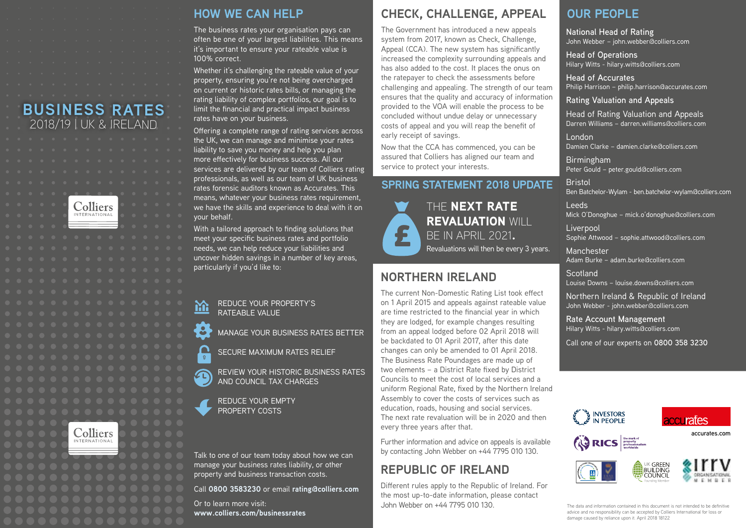## **BUSINESS RATES** 2018/19 | UK & IRELAND





## **HOW WE CAN HELP**

The business rates your organisation pays can often be one of your largest liabilities. This means it's important to ensure your rateable value is 100% correct.

Whether it's challenging the rateable value of your property, ensuring you're not being overcharged on current or historic rates bills, or managing the rating liability of complex portfolios, our goal is to limit the financial and practical impact business rates have on your business.

Offering a complete range of rating services across the UK, we can manage and minimise your rates liability to save you money and help you plan more effectively for business success. All our services are delivered by our team of Colliers rating professionals, as well as our team of UK business rates forensic auditors known as Accurates. This means, whatever your business rates requirement, we have the skills and experience to deal with it on your behalf.

With a tailored approach to finding solutions that meet your specific business rates and portfolio needs, we can help reduce your liabilities and uncover hidden savings in a number of key areas, particularly if you'd like to:

REDUCE YOUR PROPERTY'S 盗 RATEABLE VALUE

MANAGE YOUR BUSINESS RATES BETTER

SECURE MAXIMUM RATES RELIEF

REVIEW YOUR HISTORIC BUSINESS RATES AND COUNCIL TAX CHARGES

REDUCE YOUR EMPTY PROPERTY COSTS

∩  $\mathbf{0}^-$ 

Talk to one of our team today about how we can manage your business rates liability, or other property and business transaction costs.

Call **0800 3583230** or email **rating@colliers.com**

Or to learn more visit: **www.colliers.com/businessrates**

## **CHECK, CHALLENGE, APPEAL**

The Government has introduced a new appeals system from 2017, known as Check, Challenge, Appeal (CCA). The new system has significantly increased the complexity surrounding appeals and has also added to the cost. It places the onus on the ratepayer to check the assessments before challenging and appealing. The strength of our team ensures that the quality and accuracy of information provided to the VOA will enable the process to be concluded without undue delay or unnecessary costs of appeal and you will reap the benefit of early receipt of savings.

Now that the CCA has commenced, you can be assured that Colliers has aligned our team and service to protect your interests.

## **SPRING STATEMENT 2018 UPDATE**



THE NEXT RATE REVALUATION WILL BE IN APRIL 2021. Revaluations will then be every 3 years.

## **NORTHERN IRELAND**

The current Non-Domestic Rating List took effect on 1 April 2015 and appeals against rateable value are time restricted to the financial year in which they are lodged, for example changes resulting from an appeal lodged before 02 April 2018 will be backdated to 01 April 2017, after this date changes can only be amended to 01 April 2018. The Business Rate Poundages are made up of two elements – a District Rate fixed by District Councils to meet the cost of local services and a uniform Regional Rate, fixed by the Northern Ireland Assembly to cover the costs of services such as education, roads, housing and social services. The next rate revaluation will be in 2020 and then every three years after that.

Further information and advice on appeals is available by contacting John Webber on +44 7795 010 130.

## **REPUBLIC OF IRELAND**

Different rules apply to the Republic of Ireland. For the most up-to-date information, please contact John Webber on +44 7795 010 130.

## **OUR PEOPLE**

**National Head of Rating**  John Webber – john.webber@colliers.com

**Head of Operations** Hilary Witts - hilary.witts@colliers.com

**Head of Accurates** Philip Harrison – philip.harrison@accurates.com

#### **Rating Valuation and Appeals**

Head of Rating Valuation and Appeals Darren Williams – darren.williams@colliers.com

London Damien Clarke – damien.clarke@colliers.com

Birmingham Peter Gould – peter.gould@colliers.com

**Bristol** Ben Batchelor-Wylam - ben.batchelor-wylam@colliers.com

Leeds Mick O'Donoghue – mick.o'donoghue@colliers.com

Liverpool Sophie Attwood – sophie.attwood@colliers.com

Manchester Adam Burke – adam.burke@colliers.com

**Scotland** Louise Downs – louise.downs@colliers.com

Northern Ireland & Republic of Ireland John Webber - john.webber@colliers.com

**Rate Account Management** Hilary Witts - hilary.witts@colliers.com

Call one of our experts on **0800 358 3230**









**accurates.com**

The data and information contained in this document is not intended to be definitive advice and no responsibility can be accepted by Colliers International for loss or damage caused by reliance upon it. April 2018 18122